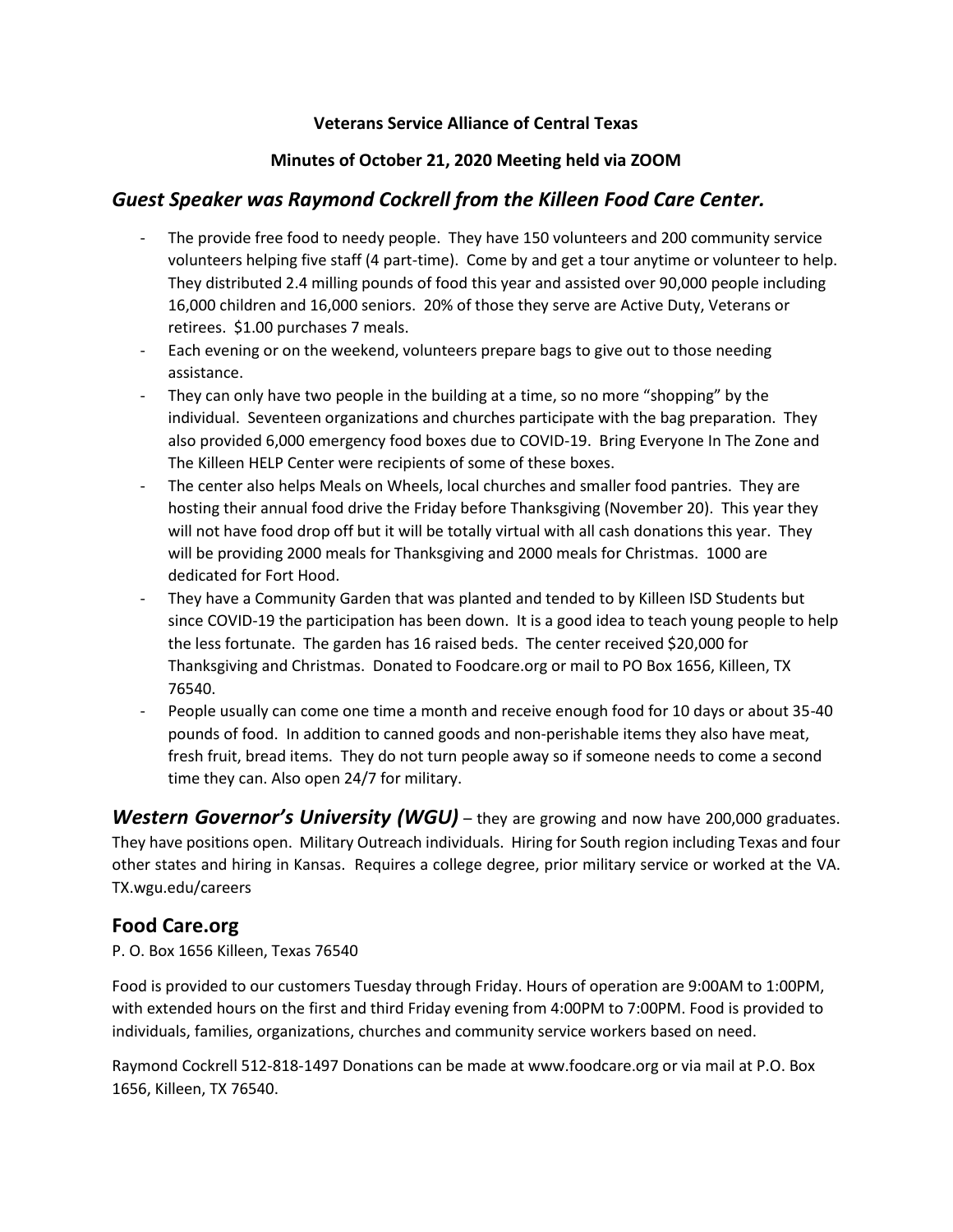#### **Veterans Service Alliance of Central Texas**

### **Minutes of October 21, 2020 Meeting held via ZOOM**

# *Guest Speaker was Raymond Cockrell from the Killeen Food Care Center.*

- The provide free food to needy people. They have 150 volunteers and 200 community service volunteers helping five staff (4 part-time). Come by and get a tour anytime or volunteer to help. They distributed 2.4 milling pounds of food this year and assisted over 90,000 people including 16,000 children and 16,000 seniors. 20% of those they serve are Active Duty, Veterans or retirees. \$1.00 purchases 7 meals.
- Each evening or on the weekend, volunteers prepare bags to give out to those needing assistance.
- They can only have two people in the building at a time, so no more "shopping" by the individual. Seventeen organizations and churches participate with the bag preparation. They also provided 6,000 emergency food boxes due to COVID-19. Bring Everyone In The Zone and The Killeen HELP Center were recipients of some of these boxes.
- The center also helps Meals on Wheels, local churches and smaller food pantries. They are hosting their annual food drive the Friday before Thanksgiving (November 20). This year they will not have food drop off but it will be totally virtual with all cash donations this year. They will be providing 2000 meals for Thanksgiving and 2000 meals for Christmas. 1000 are dedicated for Fort Hood.
- They have a Community Garden that was planted and tended to by Killeen ISD Students but since COVID-19 the participation has been down. It is a good idea to teach young people to help the less fortunate. The garden has 16 raised beds. The center received \$20,000 for Thanksgiving and Christmas. Donated to Foodcare.org or mail to PO Box 1656, Killeen, TX 76540.
- People usually can come one time a month and receive enough food for 10 days or about 35-40 pounds of food. In addition to canned goods and non-perishable items they also have meat, fresh fruit, bread items. They do not turn people away so if someone needs to come a second time they can. Also open 24/7 for military.

*Western Governor's University (WGU)* – they are growing and now have 200,000 graduates. They have positions open. Military Outreach individuals. Hiring for South region including Texas and four other states and hiring in Kansas. Requires a college degree, prior military service or worked at the VA. TX.wgu.edu/careers

# **Food Care.org**

P. O. Box 1656 Killeen, Texas 76540

Food is provided to our customers Tuesday through Friday. Hours of operation are 9:00AM to 1:00PM, with extended hours on the first and third Friday evening from 4:00PM to 7:00PM. Food is provided to individuals, families, organizations, churches and community service workers based on need.

Raymond Cockrell 512-818-1497 Donations can be made at www.foodcare.org or via mail at P.O. Box 1656, Killeen, TX 76540.